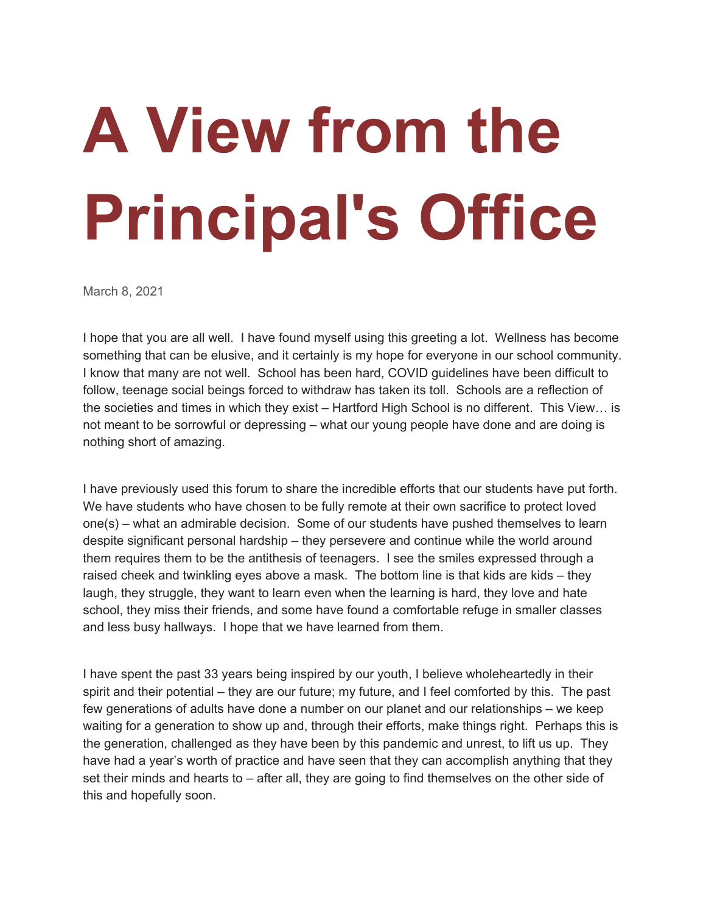## **A View from the Principal's Office**

March 8, 2021

I hope that you are all well. I have found myself using this greeting a lot. Wellness has become something that can be elusive, and it certainly is my hope for everyone in our school community. I know that many are not well. School has been hard, COVID guidelines have been difficult to follow, teenage social beings forced to withdraw has taken its toll. Schools are a reflection of the societies and times in which they exist – Hartford High School is no different. This View… is not meant to be sorrowful or depressing – what our young people have done and are doing is nothing short of amazing.

I have previously used this forum to share the incredible efforts that our students have put forth. We have students who have chosen to be fully remote at their own sacrifice to protect loved one(s) – what an admirable decision. Some of our students have pushed themselves to learn despite significant personal hardship – they persevere and continue while the world around them requires them to be the antithesis of teenagers. I see the smiles expressed through a raised cheek and twinkling eyes above a mask. The bottom line is that kids are kids – they laugh, they struggle, they want to learn even when the learning is hard, they love and hate school, they miss their friends, and some have found a comfortable refuge in smaller classes and less busy hallways. I hope that we have learned from them.

I have spent the past 33 years being inspired by our youth, I believe wholeheartedly in their spirit and their potential – they are our future; my future, and I feel comforted by this. The past few generations of adults have done a number on our planet and our relationships – we keep waiting for a generation to show up and, through their efforts, make things right. Perhaps this is the generation, challenged as they have been by this pandemic and unrest, to lift us up. They have had a year's worth of practice and have seen that they can accomplish anything that they set their minds and hearts to – after all, they are going to find themselves on the other side of this and hopefully soon.